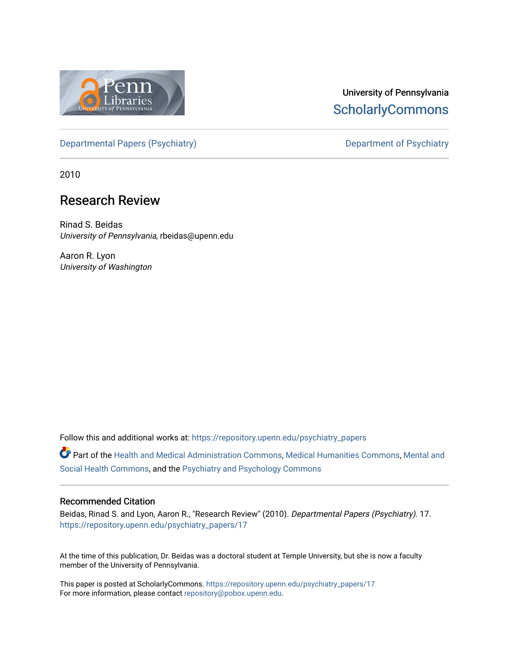

# University of Pennsylvania **ScholarlyCommons**

[Departmental Papers \(Psychiatry\)](https://repository.upenn.edu/psychiatry_papers) Department of Psychiatry

2010

## Research Review

Rinad S. Beidas University of Pennsylvania, rbeidas@upenn.edu

Aaron R. Lyon University of Washington

Follow this and additional works at: [https://repository.upenn.edu/psychiatry\\_papers](https://repository.upenn.edu/psychiatry_papers?utm_source=repository.upenn.edu%2Fpsychiatry_papers%2F17&utm_medium=PDF&utm_campaign=PDFCoverPages)

Part of the [Health and Medical Administration Commons](http://network.bepress.com/hgg/discipline/663?utm_source=repository.upenn.edu%2Fpsychiatry_papers%2F17&utm_medium=PDF&utm_campaign=PDFCoverPages), [Medical Humanities Commons](http://network.bepress.com/hgg/discipline/1303?utm_source=repository.upenn.edu%2Fpsychiatry_papers%2F17&utm_medium=PDF&utm_campaign=PDFCoverPages), [Mental and](http://network.bepress.com/hgg/discipline/709?utm_source=repository.upenn.edu%2Fpsychiatry_papers%2F17&utm_medium=PDF&utm_campaign=PDFCoverPages) [Social Health Commons](http://network.bepress.com/hgg/discipline/709?utm_source=repository.upenn.edu%2Fpsychiatry_papers%2F17&utm_medium=PDF&utm_campaign=PDFCoverPages), and the [Psychiatry and Psychology Commons](http://network.bepress.com/hgg/discipline/908?utm_source=repository.upenn.edu%2Fpsychiatry_papers%2F17&utm_medium=PDF&utm_campaign=PDFCoverPages) 

#### Recommended Citation

Beidas, Rinad S. and Lyon, Aaron R., "Research Review" (2010). Departmental Papers (Psychiatry). 17. [https://repository.upenn.edu/psychiatry\\_papers/17](https://repository.upenn.edu/psychiatry_papers/17?utm_source=repository.upenn.edu%2Fpsychiatry_papers%2F17&utm_medium=PDF&utm_campaign=PDFCoverPages) 

At the time of this publication, Dr. Beidas was a doctoral student at Temple University, but she is now a faculty member of the University of Pennsylvania.

This paper is posted at ScholarlyCommons. [https://repository.upenn.edu/psychiatry\\_papers/17](https://repository.upenn.edu/psychiatry_papers/17) For more information, please contact [repository@pobox.upenn.edu.](mailto:repository@pobox.upenn.edu)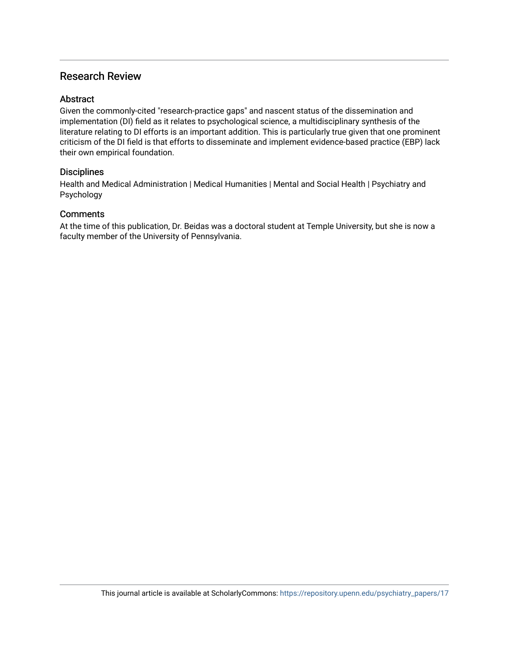## Research Review

## **Abstract**

Given the commonly-cited "research-practice gaps" and nascent status of the dissemination and implementation (DI) field as it relates to psychological science, a multidisciplinary synthesis of the literature relating to DI efforts is an important addition. This is particularly true given that one prominent criticism of the DI field is that efforts to disseminate and implement evidence-based practice (EBP) lack their own empirical foundation.

## **Disciplines**

Health and Medical Administration | Medical Humanities | Mental and Social Health | Psychiatry and Psychology

## **Comments**

At the time of this publication, Dr. Beidas was a doctoral student at Temple University, but she is now a faculty member of the University of Pennsylvania.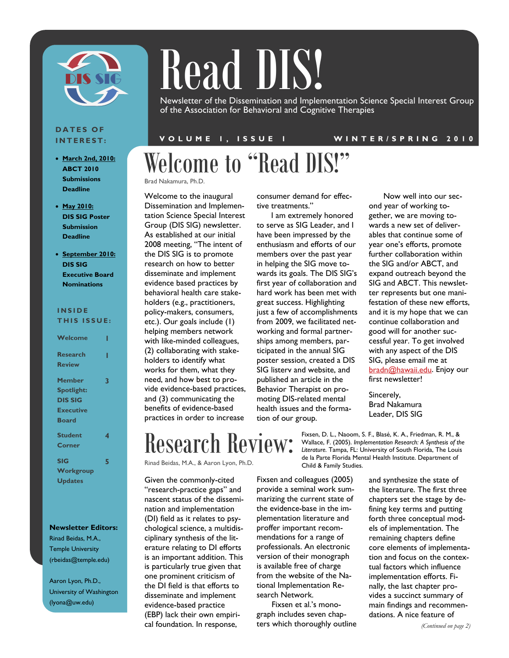

# Read DIS!

Newsletter of the Dissemination and Implementation Science Special Interest Group of the Association for Behavioral and Cognitive Therapies

#### **DATES OF INTEREST:**

- **March 2nd, 2010: ABCT 2010 Submissions Deadline**
- **May 2010: DIS SIG Poster Submission Deadline**
- **September 2010: DIS SIG Executive Board Nominations**

#### **INSIDE THIS ISSUE:**

|         |  |  | . |  |  |  |  |  |
|---------|--|--|---|--|--|--|--|--|
|         |  |  |   |  |  |  |  |  |
| Welcome |  |  |   |  |  |  |  |  |

| Research          |   |
|-------------------|---|
| <b>Review</b>     |   |
| Member            | 3 |
| <b>Spotlight:</b> |   |
| DIS SIG           |   |
| <b>Executive</b>  |   |
| <b>Board</b>      |   |
| <b>Student</b>    | 4 |
| Corner            |   |
| <b>SIG</b>        | 5 |
| Workgroup         |   |
| <b>Updates</b>    |   |

#### **Newsletter Editors:**

Rinad Beidas, M.A., Temple University (rbeidas@temple.edu)

Aaron Lyon, Ph.D., University of Washington (lyona@uw.edu)

#### **VOLUME 1, ISSUE 1 WINTER/SPRING 2010**

Welcome to "Read DIS!"

Brad Nakamura, Ph.D.

Welcome to the inaugural Dissemination and Implementation Science Special Interest Group (DIS SIG) newsletter. As established at our initial 2008 meeting, "The intent of the DIS SIG is to promote research on how to better disseminate and implement evidence based practices by behavioral health care stakeholders (e.g., practitioners, policy-makers, consumers, etc.). Our goals include (1) helping members network with like-minded colleagues, (2) collaborating with stakeholders to identify what works for them, what they need, and how best to provide evidence-based practices, and (3) communicating the benefits of evidence-based practices in order to increase

consumer demand for effective treatments."

I am extremely honored to serve as SIG Leader, and I have been impressed by the enthusiasm and efforts of our members over the past year in helping the SIG move towards its goals. The DIS SIG's first year of collaboration and hard work has been met with great success. Highlighting just a few of accomplishments from 2009, we facilitated networking and formal partnerships among members, participated in the annual SIG poster session, created a DIS SIG listerv and website, and published an article in the Behavior Therapist on promoting DIS-related mental health issues and the formation of our group.

Now well into our second year of working together, we are moving towards a new set of deliverables that continue some of year one's efforts, promote further collaboration within the SIG and/or ABCT, and expand outreach beyond the SIG and ABCT. This newsletter represents but one manifestation of these new efforts, and it is my hope that we can continue collaboration and good will for another successful year. To get involved with any aspect of the DIS SIG, please email me at bradn@hawaii.edu. Enjoy our first newsletter!

Sincerely, Brad Nakamura Leader, DIS SIG

Fixsen, D. L., Naoom, S. F., Blasé, K. A., Friedman, R. M., & Wallace, F. (2005). *Implementation Research: A Synthesis of the Literature.* Tampa, FL: University of South Florida, The Louis de la Parte Florida Mental Health Institute. Department of Child & Family Studies.

Rinad Beidas, M.A., & Aaron Lyon, Ph.D.

Research Review:

Given the commonly-cited "research-practice gaps" and nascent status of the dissemination and implementation (DI) field as it relates to psychological science, a multidisciplinary synthesis of the literature relating to DI efforts is an important addition. This is particularly true given that one prominent criticism of the DI field is that efforts to disseminate and implement evidence-based practice (EBP) lack their own empirical foundation. In response,

Fixsen and colleagues (2005) provide a seminal work summarizing the current state of the evidence-base in the implementation literature and proffer important recommendations for a range of professionals. An electronic version of their monograph is available free of charge from the website of the National Implementation Research Network.

Fixsen et al.'s monograph includes seven chapters which thoroughly outline

and synthesize the state of the literature. The first three chapters set the stage by defining key terms and putting forth three conceptual models of implementation. The remaining chapters define core elements of implementation and focus on the contextual factors which influence implementation efforts. Finally, the last chapter provides a succinct summary of main findings and recommendations. A nice feature of